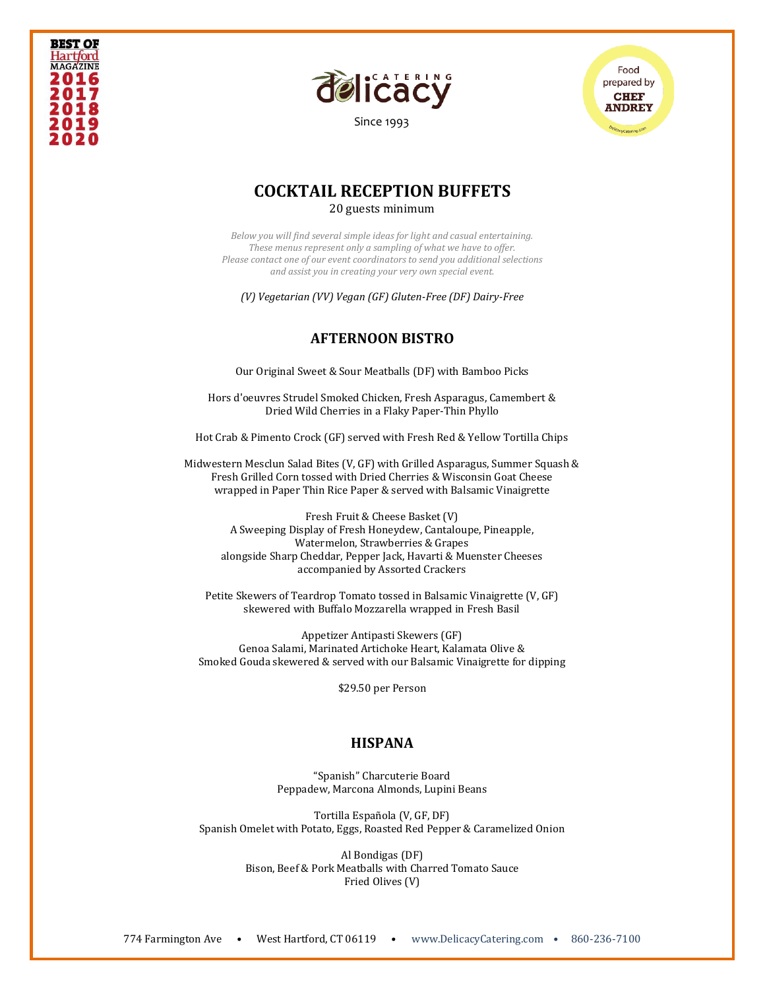



[Since 1993](file:///C:/Users/DelicacyCatering/Dropbox/DELCATERING/1%20Stationary/delicacycatering.com)



## **COCKTAIL RECEPTION BUFFETS** 20 guests minimum

*Below you will find several simple ideas for light and casual entertaining. These menus represent only a sampling of what we have to offer. Please contact one of our event coordinators to send you additional selections and assist you in creating your very own special event.* 

*(V) Vegetarian (VV) Vegan (GF) Gluten-Free (DF) Dairy-Free*

# **AFTERNOON BISTRO**

Our Original Sweet & Sour Meatballs (DF) with Bamboo Picks

Hors d'oeuvres Strudel Smoked Chicken, Fresh Asparagus, Camembert & Dried Wild Cherries in a Flaky Paper-Thin Phyllo

Hot Crab & Pimento Crock (GF) served with Fresh Red & Yellow Tortilla Chips

Midwestern Mesclun Salad Bites (V, GF) with Grilled Asparagus, Summer Squash & Fresh Grilled Corn tossed with Dried Cherries & Wisconsin Goat Cheese wrapped in Paper Thin Rice Paper & served with Balsamic Vinaigrette

Fresh Fruit & Cheese Basket (V) A Sweeping Display of Fresh Honeydew, Cantaloupe, Pineapple, Watermelon, Strawberries & Grapes alongside Sharp Cheddar, Pepper Jack, Havarti & Muenster Cheeses accompanied by Assorted Crackers

Petite Skewers of Teardrop Tomato tossed in Balsamic Vinaigrette (V, GF) skewered with Buffalo Mozzarella wrapped in Fresh Basil

Appetizer Antipasti Skewers (GF) Genoa Salami, Marinated Artichoke Heart, Kalamata Olive & Smoked Gouda skewered & served with our Balsamic Vinaigrette for dipping

\$29.50 per Person

### **HISPANA**

"Spanish" Charcuterie Board Peppadew, Marcona Almonds, Lupini Beans

Tortilla Española (V, GF, DF) Spanish Omelet with Potato, Eggs, Roasted Red Pepper & Caramelized Onion

> Al Bondigas (DF) Bison, Beef & Pork Meatballs with Charred Tomato Sauce Fried Olives (V)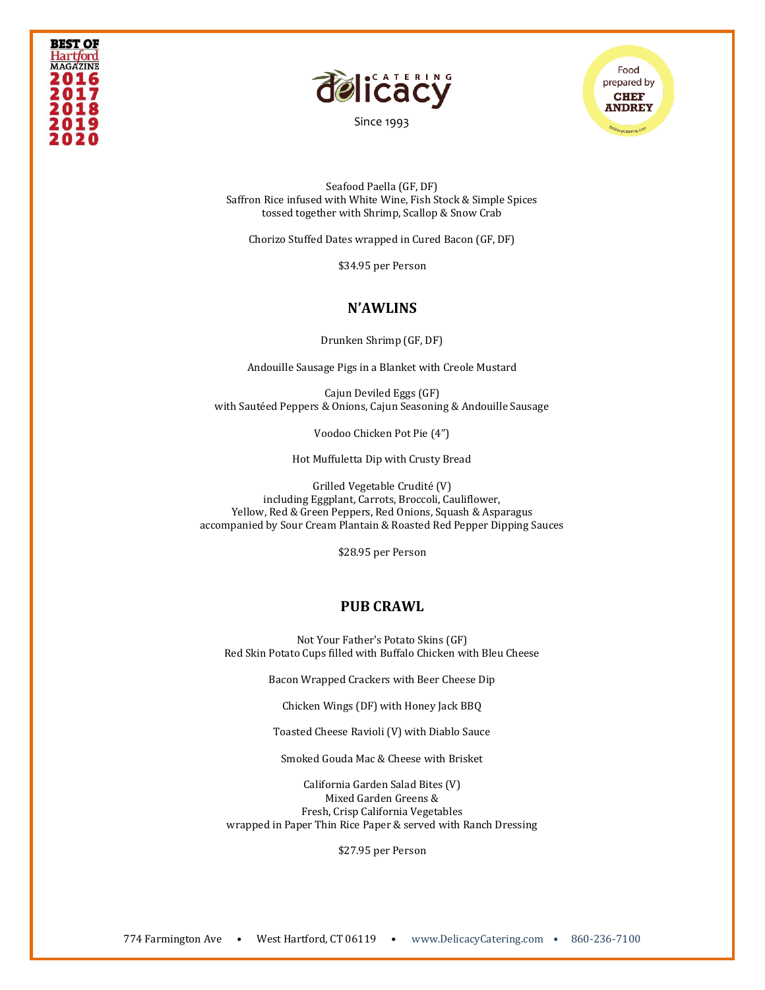



[Since 1993](file:///C:/Users/DelicacyCatering/Dropbox/DELCATERING/1%20Stationary/delicacycatering.com)

Food prepared by **CHEF ANDREY** 

Seafood Paella (GF, DF) Saffron Rice infused with White Wine, Fish Stock & Simple Spices tossed together with Shrimp, Scallop & Snow Crab

Chorizo Stuffed Dates wrapped in Cured Bacon (GF, DF)

\$34.95 per Person

### **N'AWLINS**

Drunken Shrimp (GF, DF)

Andouille Sausage Pigs in a Blanket with Creole Mustard

Cajun Deviled Eggs (GF) with Sautéed Peppers & Onions, Cajun Seasoning & Andouille Sausage

Voodoo Chicken Pot Pie (4")

Hot Muffuletta Dip with Crusty Bread

Grilled Vegetable Crudité (V) including Eggplant, Carrots, Broccoli, Cauliflower, Yellow, Red & Green Peppers, Red Onions, Squash & Asparagus accompanied by Sour Cream Plantain & Roasted Red Pepper Dipping Sauces

\$28.95 per Person

#### **PUB CRAWL**

Not Your Father's Potato Skins (GF) Red Skin Potato Cups filled with Buffalo Chicken with Bleu Cheese

Bacon Wrapped Crackers with Beer Cheese Dip

Chicken Wings (DF) with Honey Jack BBQ

Toasted Cheese Ravioli (V) with Diablo Sauce

Smoked Gouda Mac & Cheese with Brisket

California Garden Salad Bites (V) Mixed Garden Greens & Fresh, Crisp California Vegetables wrapped in Paper Thin Rice Paper & served with Ranch Dressing

\$27.95 per Person